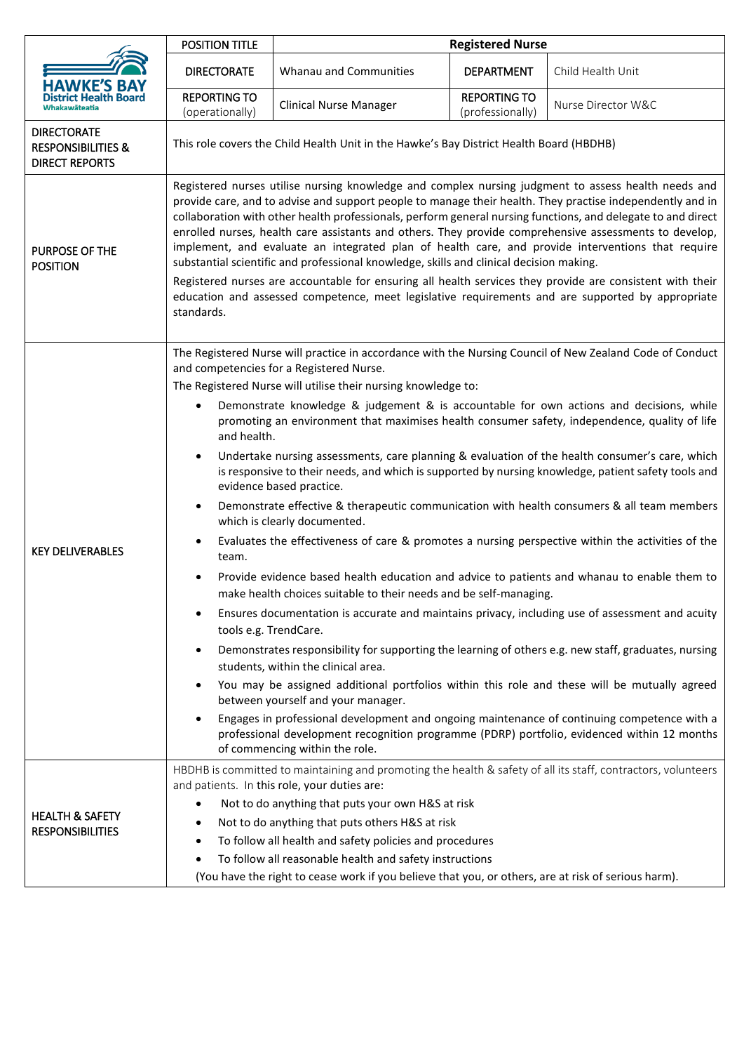|                                                                              | POSITION TITLE                                                                                                                                                                                                                                                                                                                                                                                                                                                                                                                                                                                                                                                                                                                                                                                                                                                             | <b>Registered Nurse</b>       |                                         |                    |  |
|------------------------------------------------------------------------------|----------------------------------------------------------------------------------------------------------------------------------------------------------------------------------------------------------------------------------------------------------------------------------------------------------------------------------------------------------------------------------------------------------------------------------------------------------------------------------------------------------------------------------------------------------------------------------------------------------------------------------------------------------------------------------------------------------------------------------------------------------------------------------------------------------------------------------------------------------------------------|-------------------------------|-----------------------------------------|--------------------|--|
| HAWKE'S BAY<br><b>District Health Board</b>                                  | <b>DIRECTORATE</b>                                                                                                                                                                                                                                                                                                                                                                                                                                                                                                                                                                                                                                                                                                                                                                                                                                                         | <b>Whanau and Communities</b> | <b>DEPARTMENT</b>                       | Child Health Unit  |  |
|                                                                              | <b>REPORTING TO</b><br>(operationally)                                                                                                                                                                                                                                                                                                                                                                                                                                                                                                                                                                                                                                                                                                                                                                                                                                     | Clinical Nurse Manager        | <b>REPORTING TO</b><br>(professionally) | Nurse Director W&C |  |
| <b>DIRECTORATE</b><br><b>RESPONSIBILITIES &amp;</b><br><b>DIRECT REPORTS</b> | This role covers the Child Health Unit in the Hawke's Bay District Health Board (HBDHB)                                                                                                                                                                                                                                                                                                                                                                                                                                                                                                                                                                                                                                                                                                                                                                                    |                               |                                         |                    |  |
| PURPOSE OF THE<br><b>POSITION</b>                                            | Registered nurses utilise nursing knowledge and complex nursing judgment to assess health needs and<br>provide care, and to advise and support people to manage their health. They practise independently and in<br>collaboration with other health professionals, perform general nursing functions, and delegate to and direct<br>enrolled nurses, health care assistants and others. They provide comprehensive assessments to develop,<br>implement, and evaluate an integrated plan of health care, and provide interventions that require<br>substantial scientific and professional knowledge, skills and clinical decision making.<br>Registered nurses are accountable for ensuring all health services they provide are consistent with their<br>education and assessed competence, meet legislative requirements and are supported by appropriate<br>standards. |                               |                                         |                    |  |
|                                                                              |                                                                                                                                                                                                                                                                                                                                                                                                                                                                                                                                                                                                                                                                                                                                                                                                                                                                            |                               |                                         |                    |  |
| <b>KEY DELIVERABLES</b>                                                      | The Registered Nurse will practice in accordance with the Nursing Council of New Zealand Code of Conduct<br>and competencies for a Registered Nurse.                                                                                                                                                                                                                                                                                                                                                                                                                                                                                                                                                                                                                                                                                                                       |                               |                                         |                    |  |
|                                                                              | The Registered Nurse will utilise their nursing knowledge to:                                                                                                                                                                                                                                                                                                                                                                                                                                                                                                                                                                                                                                                                                                                                                                                                              |                               |                                         |                    |  |
|                                                                              | Demonstrate knowledge & judgement & is accountable for own actions and decisions, while<br>promoting an environment that maximises health consumer safety, independence, quality of life<br>and health.                                                                                                                                                                                                                                                                                                                                                                                                                                                                                                                                                                                                                                                                    |                               |                                         |                    |  |
|                                                                              | Undertake nursing assessments, care planning & evaluation of the health consumer's care, which<br>is responsive to their needs, and which is supported by nursing knowledge, patient safety tools and<br>evidence based practice.                                                                                                                                                                                                                                                                                                                                                                                                                                                                                                                                                                                                                                          |                               |                                         |                    |  |
|                                                                              | Demonstrate effective & therapeutic communication with health consumers & all team members<br>$\bullet$<br>which is clearly documented.                                                                                                                                                                                                                                                                                                                                                                                                                                                                                                                                                                                                                                                                                                                                    |                               |                                         |                    |  |
|                                                                              | Evaluates the effectiveness of care & promotes a nursing perspective within the activities of the<br>team.                                                                                                                                                                                                                                                                                                                                                                                                                                                                                                                                                                                                                                                                                                                                                                 |                               |                                         |                    |  |
|                                                                              | Provide evidence based health education and advice to patients and whanau to enable them to<br>make health choices suitable to their needs and be self-managing.                                                                                                                                                                                                                                                                                                                                                                                                                                                                                                                                                                                                                                                                                                           |                               |                                         |                    |  |
|                                                                              | Ensures documentation is accurate and maintains privacy, including use of assessment and acuity<br>tools e.g. TrendCare.                                                                                                                                                                                                                                                                                                                                                                                                                                                                                                                                                                                                                                                                                                                                                   |                               |                                         |                    |  |
|                                                                              | Demonstrates responsibility for supporting the learning of others e.g. new staff, graduates, nursing<br>students, within the clinical area.                                                                                                                                                                                                                                                                                                                                                                                                                                                                                                                                                                                                                                                                                                                                |                               |                                         |                    |  |
|                                                                              | You may be assigned additional portfolios within this role and these will be mutually agreed<br>between yourself and your manager.                                                                                                                                                                                                                                                                                                                                                                                                                                                                                                                                                                                                                                                                                                                                         |                               |                                         |                    |  |
|                                                                              | Engages in professional development and ongoing maintenance of continuing competence with a<br>professional development recognition programme (PDRP) portfolio, evidenced within 12 months<br>of commencing within the role.                                                                                                                                                                                                                                                                                                                                                                                                                                                                                                                                                                                                                                               |                               |                                         |                    |  |
| <b>HEALTH &amp; SAFETY</b><br><b>RESPONSIBILITIES</b>                        | HBDHB is committed to maintaining and promoting the health & safety of all its staff, contractors, volunteers<br>and patients. In this role, your duties are:                                                                                                                                                                                                                                                                                                                                                                                                                                                                                                                                                                                                                                                                                                              |                               |                                         |                    |  |
|                                                                              | Not to do anything that puts your own H&S at risk                                                                                                                                                                                                                                                                                                                                                                                                                                                                                                                                                                                                                                                                                                                                                                                                                          |                               |                                         |                    |  |
|                                                                              | Not to do anything that puts others H&S at risk                                                                                                                                                                                                                                                                                                                                                                                                                                                                                                                                                                                                                                                                                                                                                                                                                            |                               |                                         |                    |  |
|                                                                              | To follow all health and safety policies and procedures                                                                                                                                                                                                                                                                                                                                                                                                                                                                                                                                                                                                                                                                                                                                                                                                                    |                               |                                         |                    |  |
|                                                                              | To follow all reasonable health and safety instructions                                                                                                                                                                                                                                                                                                                                                                                                                                                                                                                                                                                                                                                                                                                                                                                                                    |                               |                                         |                    |  |
|                                                                              | (You have the right to cease work if you believe that you, or others, are at risk of serious harm).                                                                                                                                                                                                                                                                                                                                                                                                                                                                                                                                                                                                                                                                                                                                                                        |                               |                                         |                    |  |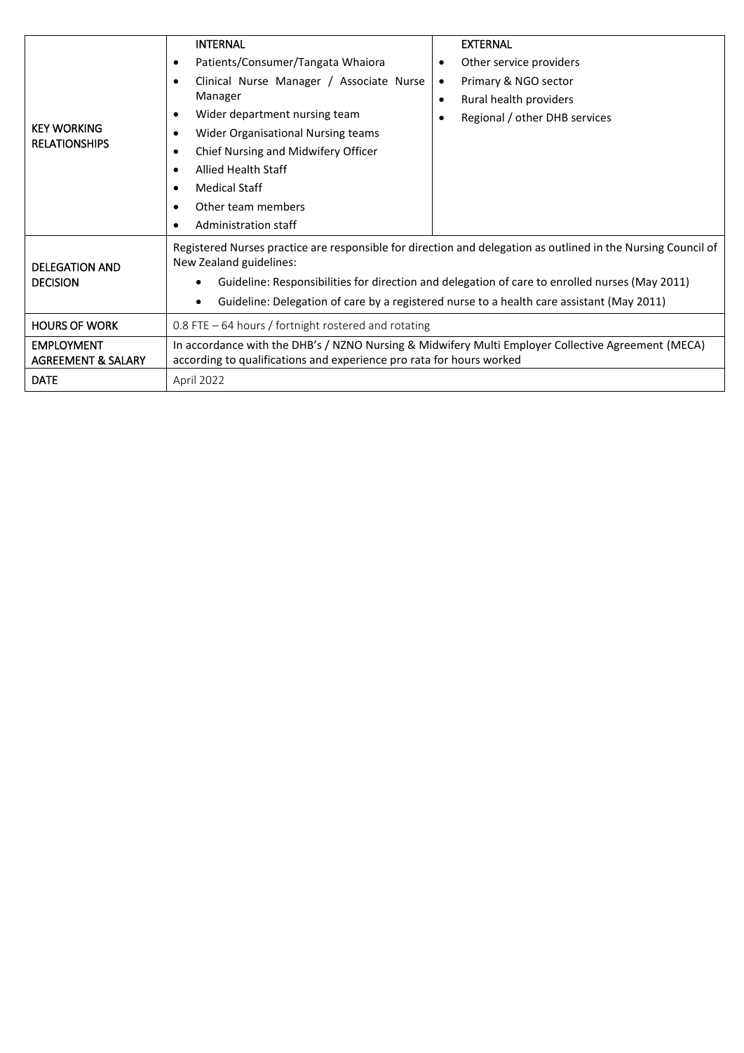| <b>KEY WORKING</b><br><b>RELATIONSHIPS</b>         | <b>INTERNAL</b><br>Patients/Consumer/Tangata Whaiora<br>$\bullet$<br>Clinical Nurse Manager / Associate Nurse<br>٠<br>Manager<br>Wider department nursing team<br>٠<br>Wider Organisational Nursing teams<br>٠<br>Chief Nursing and Midwifery Officer<br>$\bullet$<br><b>Allied Health Staff</b><br>$\bullet$<br><b>Medical Staff</b><br>٠           | <b>EXTERNAL</b><br>Other service providers<br>$\bullet$<br>Primary & NGO sector<br>$\bullet$<br>Rural health providers<br>$\bullet$<br>Regional / other DHB services |  |  |  |
|----------------------------------------------------|------------------------------------------------------------------------------------------------------------------------------------------------------------------------------------------------------------------------------------------------------------------------------------------------------------------------------------------------------|----------------------------------------------------------------------------------------------------------------------------------------------------------------------|--|--|--|
|                                                    | Other team members<br>٠<br>Administration staff<br>٠                                                                                                                                                                                                                                                                                                 |                                                                                                                                                                      |  |  |  |
| <b>DELEGATION AND</b><br><b>DECISION</b>           | Registered Nurses practice are responsible for direction and delegation as outlined in the Nursing Council of<br>New Zealand guidelines:<br>Guideline: Responsibilities for direction and delegation of care to enrolled nurses (May 2011)<br>Guideline: Delegation of care by a registered nurse to a health care assistant (May 2011)<br>$\bullet$ |                                                                                                                                                                      |  |  |  |
| <b>HOURS OF WORK</b>                               | 0.8 FTE - 64 hours / fortnight rostered and rotating                                                                                                                                                                                                                                                                                                 |                                                                                                                                                                      |  |  |  |
| <b>EMPLOYMENT</b><br><b>AGREEMENT &amp; SALARY</b> | In accordance with the DHB's / NZNO Nursing & Midwifery Multi Employer Collective Agreement (MECA)<br>according to qualifications and experience pro rata for hours worked                                                                                                                                                                           |                                                                                                                                                                      |  |  |  |
| <b>DATE</b>                                        | April 2022                                                                                                                                                                                                                                                                                                                                           |                                                                                                                                                                      |  |  |  |